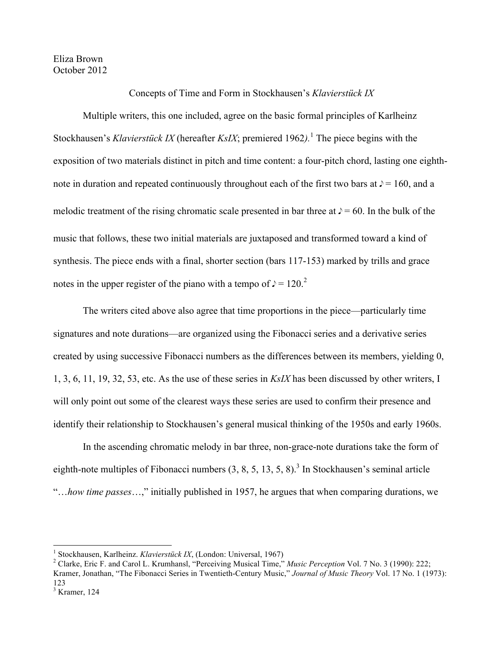## Eliza Brown October 2012

Concepts of Time and Form in Stockhausen's *Klavierstück IX*

Multiple writers, this one included, agree on the basic formal principles of Karlheinz Stockhausen's *Klavierstück IX* (hereafter *KsIX*; premiered 1962*).*<sup>1</sup> The piece begins with the exposition of two materials distinct in pitch and time content: a four-pitch chord, lasting one eighthnote in duration and repeated continuously throughout each of the first two bars at  $\ell$  = 160, and a melodic treatment of the rising chromatic scale presented in bar three at  $\ell$  = 60. In the bulk of the music that follows, these two initial materials are juxtaposed and transformed toward a kind of synthesis. The piece ends with a final, shorter section (bars 117-153) marked by trills and grace notes in the upper register of the piano with a tempo of  $\ell = 120$ .

The writers cited above also agree that time proportions in the piece—particularly time signatures and note durations—are organized using the Fibonacci series and a derivative series created by using successive Fibonacci numbers as the differences between its members, yielding 0, 1, 3, 6, 11, 19, 32, 53, etc. As the use of these series in *KsIX* has been discussed by other writers, I will only point out some of the clearest ways these series are used to confirm their presence and identify their relationship to Stockhausen's general musical thinking of the 1950s and early 1960s.

In the ascending chromatic melody in bar three, non-grace-note durations take the form of eighth-note multiples of Fibonacci numbers  $(3, 8, 5, 13, 5, 8)$ .<sup>3</sup> In Stockhausen's seminal article "…*how time passes*…," initially published in 1957, he argues that when comparing durations, we

 $\frac{1}{1}$ Stockhousen Kerlbeinz Klaviewsti <sup>1</sup> Stockhausen, Karlheinz. *Klavierstück IX*, (London: Universal, 1967)<sup>2</sup> Clarke, Frie E, and Carol L, Krumbanal "Paragiuing Musical Time"

Clarke, Eric F. and Carol L. Krumhansl, "Perceiving Musical Time," *Music Perception* Vol. 7 No. 3 (1990): 222; Kramer, Jonathan, "The Fibonacci Series in Twentieth-Century Music," *Journal of Music Theory* Vol. 17 No. 1 (1973): 123

 $3$  Kramer, 124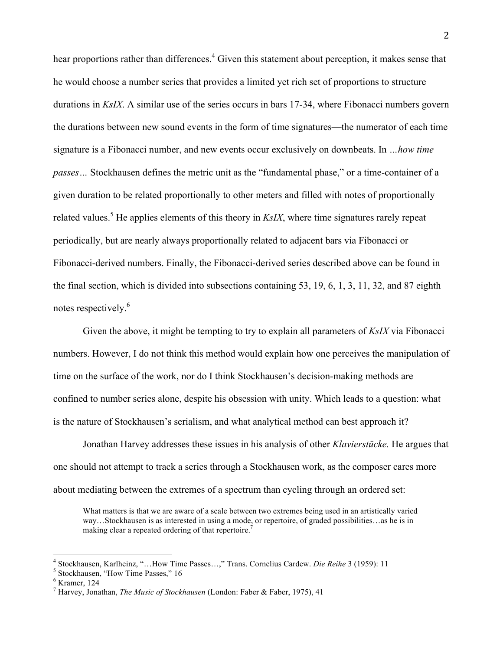hear proportions rather than differences.<sup>4</sup> Given this statement about perception, it makes sense that he would choose a number series that provides a limited yet rich set of proportions to structure durations in *KsIX*. A similar use of the series occurs in bars 17-34, where Fibonacci numbers govern the durations between new sound events in the form of time signatures—the numerator of each time signature is a Fibonacci number, and new events occur exclusively on downbeats. In *…how time passes…* Stockhausen defines the metric unit as the "fundamental phase," or a time-container of a given duration to be related proportionally to other meters and filled with notes of proportionally related values.<sup>5</sup> He applies elements of this theory in  $KsIX$ , where time signatures rarely repeat periodically, but are nearly always proportionally related to adjacent bars via Fibonacci or Fibonacci-derived numbers. Finally, the Fibonacci-derived series described above can be found in the final section, which is divided into subsections containing 53, 19, 6, 1, 3, 11, 32, and 87 eighth notes respectively.<sup>6</sup>

Given the above, it might be tempting to try to explain all parameters of *KsIX* via Fibonacci numbers. However, I do not think this method would explain how one perceives the manipulation of time on the surface of the work, nor do I think Stockhausen's decision-making methods are confined to number series alone, despite his obsession with unity. Which leads to a question: what is the nature of Stockhausen's serialism, and what analytical method can best approach it?

Jonathan Harvey addresses these issues in his analysis of other *Klavierstücke.* He argues that one should not attempt to track a series through a Stockhausen work, as the composer cares more about mediating between the extremes of a spectrum than cycling through an ordered set:

What matters is that we are aware of a scale between two extremes being used in an artistically varied way…Stockhausen is as interested in using a mode, or repertoire, of graded possibilities…as he is in making clear a repeated ordering of that repertoire.<sup>7</sup>

 $\frac{4 \text{ Stochastic Weyl}^4}{4 \text{ Stochastic Weyl}^4}$ <sup>4</sup> Stockhausen, Karlheinz, "…How Time Passes…," Trans. Cornelius Cardew. *Die Reihe* 3 (1959): 11<br><sup>5</sup> Stockhausen. "Hour Time Passes." 16

<sup>&</sup>lt;sup>5</sup> Stockhausen, "How Time Passes," 16

<sup>6</sup> Kramer, 124

<sup>7</sup> Harvey, Jonathan, *The Music of Stockhausen* (London: Faber & Faber, 1975), 41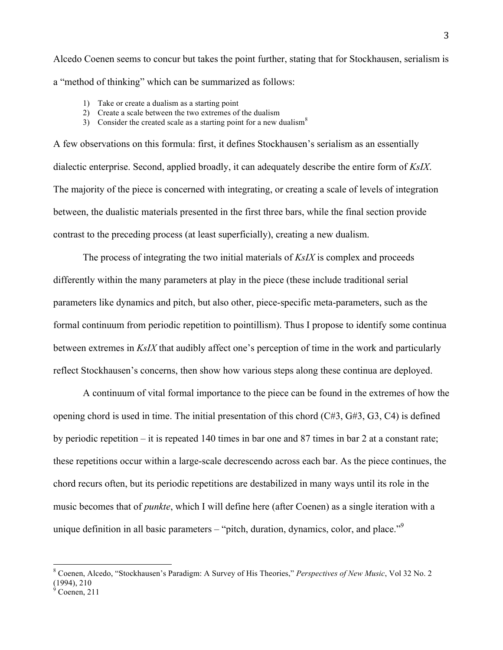Alcedo Coenen seems to concur but takes the point further, stating that for Stockhausen, serialism is a "method of thinking" which can be summarized as follows:

- 1) Take or create a dualism as a starting point
- 2) Create a scale between the two extremes of the dualism
- 3) Consider the created scale as a starting point for a new dualism<sup>8</sup>

A few observations on this formula: first, it defines Stockhausen's serialism as an essentially dialectic enterprise. Second, applied broadly, it can adequately describe the entire form of *KsIX*. The majority of the piece is concerned with integrating, or creating a scale of levels of integration between, the dualistic materials presented in the first three bars, while the final section provide contrast to the preceding process (at least superficially), creating a new dualism.

The process of integrating the two initial materials of *KsIX* is complex and proceeds differently within the many parameters at play in the piece (these include traditional serial parameters like dynamics and pitch, but also other, piece-specific meta-parameters, such as the formal continuum from periodic repetition to pointillism). Thus I propose to identify some continua between extremes in *KsIX* that audibly affect one's perception of time in the work and particularly reflect Stockhausen's concerns, then show how various steps along these continua are deployed.

A continuum of vital formal importance to the piece can be found in the extremes of how the opening chord is used in time. The initial presentation of this chord  $(C#3, G#3, G3, C4)$  is defined by periodic repetition – it is repeated 140 times in bar one and 87 times in bar 2 at a constant rate; these repetitions occur within a large-scale decrescendo across each bar. As the piece continues, the chord recurs often, but its periodic repetitions are destabilized in many ways until its role in the music becomes that of *punkte*, which I will define here (after Coenen) as a single iteration with a unique definition in all basic parameters – "pitch, duration, dynamics, color, and place."<sup>9</sup>

 <sup>8</sup> Coenen, Alcedo, "Stockhausen's Paradigm: A Survey of His Theories," *Perspectives of New Music*, Vol 32 No. 2 (1994), 210

 $\dot{9}$ Coenen, 211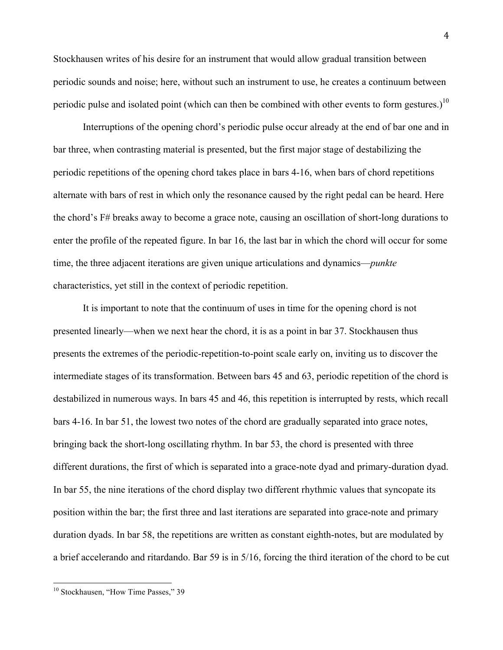Stockhausen writes of his desire for an instrument that would allow gradual transition between periodic sounds and noise; here, without such an instrument to use, he creates a continuum between periodic pulse and isolated point (which can then be combined with other events to form gestures.)<sup>10</sup>

Interruptions of the opening chord's periodic pulse occur already at the end of bar one and in bar three, when contrasting material is presented, but the first major stage of destabilizing the periodic repetitions of the opening chord takes place in bars 4-16, when bars of chord repetitions alternate with bars of rest in which only the resonance caused by the right pedal can be heard. Here the chord's F# breaks away to become a grace note, causing an oscillation of short-long durations to enter the profile of the repeated figure. In bar 16, the last bar in which the chord will occur for some time, the three adjacent iterations are given unique articulations and dynamics—*punkte* characteristics, yet still in the context of periodic repetition.

It is important to note that the continuum of uses in time for the opening chord is not presented linearly—when we next hear the chord, it is as a point in bar 37. Stockhausen thus presents the extremes of the periodic-repetition-to-point scale early on, inviting us to discover the intermediate stages of its transformation. Between bars 45 and 63, periodic repetition of the chord is destabilized in numerous ways. In bars 45 and 46, this repetition is interrupted by rests, which recall bars 4-16. In bar 51, the lowest two notes of the chord are gradually separated into grace notes, bringing back the short-long oscillating rhythm. In bar 53, the chord is presented with three different durations, the first of which is separated into a grace-note dyad and primary-duration dyad. In bar 55, the nine iterations of the chord display two different rhythmic values that syncopate its position within the bar; the first three and last iterations are separated into grace-note and primary duration dyads. In bar 58, the repetitions are written as constant eighth-notes, but are modulated by a brief accelerando and ritardando. Bar 59 is in 5/16, forcing the third iteration of the chord to be cut

<sup>&</sup>lt;sup>10</sup> Stockhausen, "How Time Passes," 39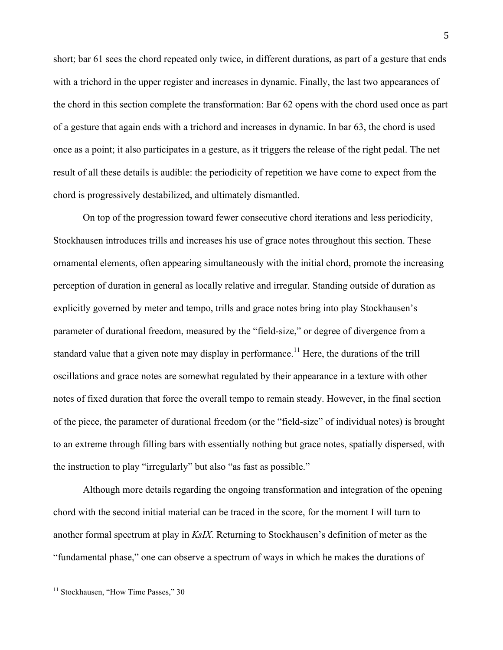short; bar 61 sees the chord repeated only twice, in different durations, as part of a gesture that ends with a trichord in the upper register and increases in dynamic. Finally, the last two appearances of the chord in this section complete the transformation: Bar 62 opens with the chord used once as part of a gesture that again ends with a trichord and increases in dynamic. In bar 63, the chord is used once as a point; it also participates in a gesture, as it triggers the release of the right pedal. The net result of all these details is audible: the periodicity of repetition we have come to expect from the chord is progressively destabilized, and ultimately dismantled.

On top of the progression toward fewer consecutive chord iterations and less periodicity, Stockhausen introduces trills and increases his use of grace notes throughout this section. These ornamental elements, often appearing simultaneously with the initial chord, promote the increasing perception of duration in general as locally relative and irregular. Standing outside of duration as explicitly governed by meter and tempo, trills and grace notes bring into play Stockhausen's parameter of durational freedom, measured by the "field-size," or degree of divergence from a standard value that a given note may display in performance.<sup>11</sup> Here, the durations of the trill oscillations and grace notes are somewhat regulated by their appearance in a texture with other notes of fixed duration that force the overall tempo to remain steady. However, in the final section of the piece, the parameter of durational freedom (or the "field-size" of individual notes) is brought to an extreme through filling bars with essentially nothing but grace notes, spatially dispersed, with the instruction to play "irregularly" but also "as fast as possible."

Although more details regarding the ongoing transformation and integration of the opening chord with the second initial material can be traced in the score, for the moment I will turn to another formal spectrum at play in *KsIX*. Returning to Stockhausen's definition of meter as the "fundamental phase," one can observe a spectrum of ways in which he makes the durations of

<sup>&</sup>lt;sup>11</sup> Stockhausen, "How Time Passes," 30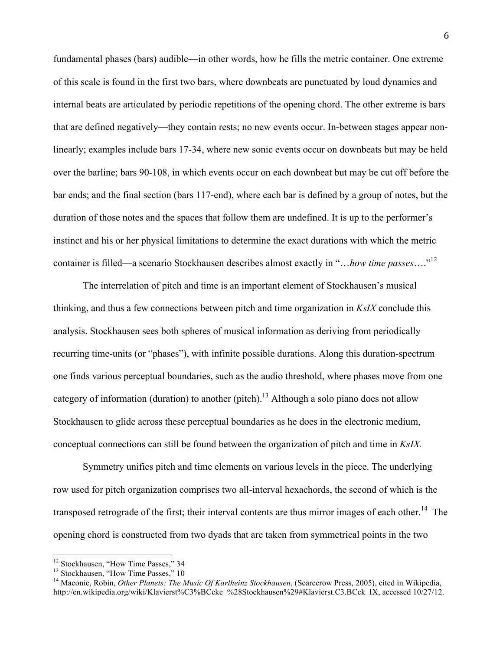fundamental phases (bars) audible—in other words, how he fills the metric container. One extreme of this scale is found in the first two bars, where downbeats are punctuated by loud dynamics and internal beats are articulated by periodic repetitions of the opening chord. The other extreme is bars that are defined negatively—they contain rests; no new events occur. In-between stages appear nonlinearly; examples include bars 17-34, where new sonic events occur on downbeats but may be held over the barline; bars 90-108, in which events occur on each downbeat but may be cut off before the bar ends; and the final section (bars 117-end), where each bar is defined by a group of notes, but the duration of those notes and the spaces that follow them are undefined. It is up to the performer's instinct and his or her physical limitations to determine the exact durations with which the metric container is filled—a scenario Stockhausen describes almost exactly in "…*how time passes*…." 12

The interrelation of pitch and time is an important element of Stockhausen's musical thinking, and thus a few connections between pitch and time organization in *KsIX* conclude this analysis. Stockhausen sees both spheres of musical information as deriving from periodically recurring time-units (or "phases"), with infinite possible durations. Along this duration-spectrum one finds various perceptual boundaries, such as the audio threshold, where phases move from one category of information (duration) to another (pitch).<sup>13</sup> Although a solo piano does not allow Stockhausen to glide across these perceptual boundaries as he does in the electronic medium, conceptual connections can still be found between the organization of pitch and time in *KsIX.* 

Symmetry unifies pitch and time elements on various levels in the piece. The underlying row used for pitch organization comprises two all-interval hexachords, the second of which is the transposed retrograde of the first; their interval contents are thus mirror images of each other.<sup>14</sup> The opening chord is constructed from two dyads that are taken from symmetrical points in the two

<sup>&</sup>lt;sup>12</sup> Stockhausen, "How Time Passes," 34

<sup>&</sup>lt;sup>13</sup> Stockhausen, "How Time Passes," 10

<sup>&</sup>lt;sup>14</sup> Maconie, Robin, *Other Planets: The Music Of Karlheinz Stockhausen*, (Scarecrow Press, 2005), cited in Wikipedia, http://en.wikipedia.org/wiki/Klavierst%C3%BCcke\_%28Stockhausen%29#Klavierst.C3.BCck\_IX, accessed 10/27/12.